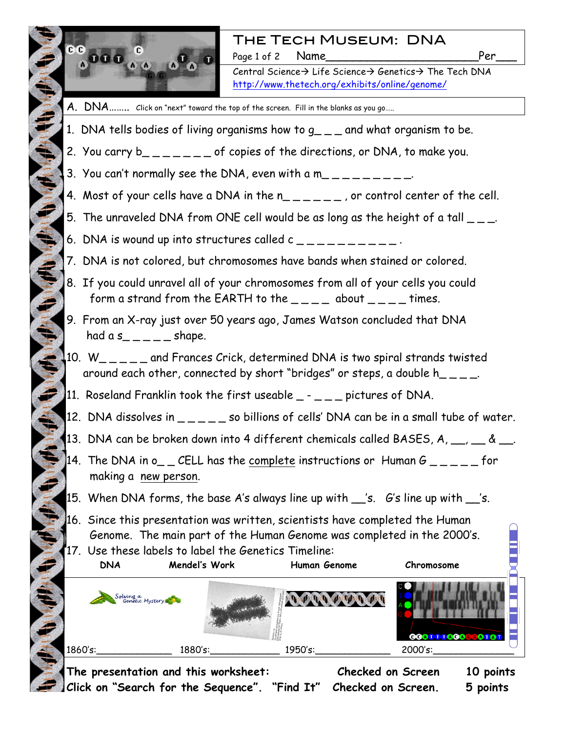

## The Tech Museum: DNA

Page 1 of 2 Name Per

Central Science $\rightarrow$  Life Science $\rightarrow$  Genetics $\rightarrow$  The Tech DNA http://www.thetech.org/exhibits/online/genome/

- A. DNA ........ Click on "next" toward the top of the screen. Fill in the blanks as you go.....
- 1. DNA tells bodies of living organisms how to  $g_{-}$   $_{-}$  and what organism to be.
- 2. You carry  $b_{-}$   $=$   $=$   $=$   $-$  of copies of the directions, or DNA, to make you.
- 3. You can't normally see the DNA, even with a m\_\_\_\_\_\_\_\_\_.
- 4. Most of your cells have a DNA in the  $n_{- - -}$ , or control center of the cell.
- 5. The unraveled DNA from ONE cell would be as long as the height of a tall  $\overline{\phantom{a}}$  \_.
- 6. DNA is wound up into structures called  $c_{-}$   $-$
- 7. DNA is not colored, but chromosomes have bands when stained or colored.
- 8. If you could unravel all of your chromosomes from all of your cells you could form a strand from the EARTH to the  $\_\_ \_\_ \_\_$  about  $\_\_ \_\_ \_\_$  times.
- 9. From an X-ray just over 50 years ago, James Watson concluded that DNA had a  $s_{- - - -}$  shape.
- $10. W_{\_ \, \_ \, \_ \, \_ \, \_ \, \_ \, \_ \, \_ \, \dots}$  and Frances Crick, determined DNA is two spiral strands twisted around each other, connected by short "bridges" or steps, a double  $h_{-} = -1$ .
- $\blacksquare$  11. Roseland Franklin took the first useable  $\blacksquare$   $\blacksquare$  \_ pictures of DNA.
	- 12. DNA dissolves in  $\mu_{\text{max}} = 0.50$  billions of cells' DNA can be in a small tube of water.
	- 13. DNA can be broken down into 4 different chemicals called BASES, A,  $\frac{1}{\sqrt{2}}$ , &  $\frac{1}{\sqrt{2}}$ .
	- 14. The DNA in o\_  $\angle$  CELL has the complete instructions or Human G  $\angle$  \_  $\angle$  \_  $\angle$  \_ for making a new person.
	- 15. When DNA forms, the base A's always line up with  $\_$ 's.  $G$ 's line up with  $\_$ 's.
	- 16. Since this presentation was written, scientists have completed the Human Genome. The main part of the Human Genome was completed in the 2000's.

17. Use these labels to label the Genetics Timeline: **DNA Mendel's Work Human Genome Chromosome**  Solving a<br>Genetic Mystery A MARINE HANDA 1860's:\_\_\_\_\_\_\_\_\_\_\_\_\_ 1880's:\_\_\_\_\_\_\_\_\_\_\_\_ 1950's:\_\_\_\_\_\_\_\_\_\_\_\_\_ 2000's:\_\_\_\_\_\_\_\_\_\_\_\_\_\_

**The presentation and this worksheet: Checked on Screen 10 points Click on "Search for the Sequence". "Find It" Checked on Screen. 5 points**